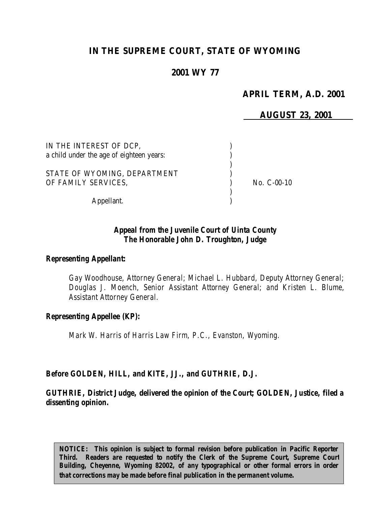# **IN THE SUPREME COURT, STATE OF WYOMING**

# **2001 WY 77**

# **APRIL TERM, A.D. 2001**

# **AUGUST 23, 2001**

| IN THE INTEREST OF DCP.<br>a child under the age of eighteen years: |             |
|---------------------------------------------------------------------|-------------|
| STATE OF WYOMING, DEPARTMENT<br>OF FAMILY SERVICES,                 | No. C-00-10 |
| Appellant.                                                          |             |

# *Appeal from the Juvenile Court of Uinta County The Honorable John D. Troughton, Judge*

#### *Representing Appellant:*

*Gay Woodhouse, Attorney General; Michael L. Hubbard, Deputy Attorney General; Douglas J. Moench, Senior Assistant Attorney General; and Kristen L. Blume, Assistant Attorney General.*

#### *Representing Appellee (KP):*

*Mark W. Harris of Harris Law Firm, P.C., Evanston, Wyoming.*

#### *Before GOLDEN, HILL, and KITE, JJ., and GUTHRIE, D.J.*

# *GUTHRIE, District Judge, delivered the opinion of the Court; GOLDEN, Justice, filed a dissenting opinion.*

*NOTICE: This opinion is subject to formal revision before publication in Pacific Reporter Third. Readers are requested to notify the Clerk of the Supreme Court, Supreme Court Building, Cheyenne, Wyoming 82002, of any typographical or other formal errors in order that corrections may be made before final publication in the permanent volume.*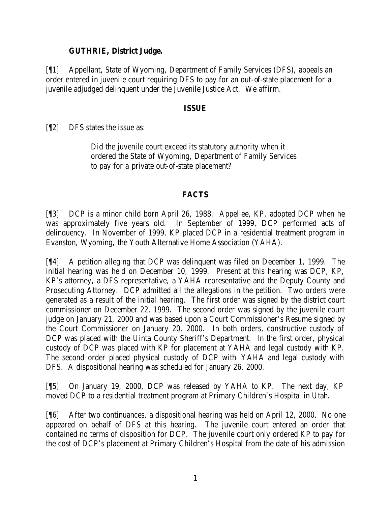#### **GUTHRIE, District Judge.**

[¶1] Appellant, State of Wyoming, Department of Family Services (DFS), appeals an order entered in juvenile court requiring DFS to pay for an out-of-state placement for a juvenile adjudged delinquent under the Juvenile Justice Act. We affirm.

# **ISSUE**

[¶2] DFS states the issue as:

Did the juvenile court exceed its statutory authority when it ordered the State of Wyoming, Department of Family Services to pay for a private out-of-state placement?

# **FACTS**

[¶3] DCP is a minor child born April 26, 1988. Appellee, KP, adopted DCP when he was approximately five years old. In September of 1999, DCP performed acts of delinquency. In November of 1999, KP placed DCP in a residential treatment program in Evanston, Wyoming, the Youth Alternative Home Association (YAHA).

[¶4] A petition alleging that DCP was delinquent was filed on December 1, 1999. The initial hearing was held on December 10, 1999. Present at this hearing was DCP, KP, KP's attorney, a DFS representative, a YAHA representative and the Deputy County and Prosecuting Attorney. DCP admitted all the allegations in the petition. Two orders were generated as a result of the initial hearing. The first order was signed by the district court commissioner on December 22, 1999. The second order was signed by the juvenile court judge on January 21, 2000 and was based upon a Court Commissioner's Resume signed by the Court Commissioner on January 20, 2000. In both orders, constructive custody of DCP was placed with the Uinta County Sheriff's Department. In the first order, physical custody of DCP was placed with KP for placement at YAHA and legal custody with KP. The second order placed physical custody of DCP with YAHA and legal custody with DFS. A dispositional hearing was scheduled for January 26, 2000.

[¶5] On January 19, 2000, DCP was released by YAHA to KP. The next day, KP moved DCP to a residential treatment program at Primary Children's Hospital in Utah.

[¶6] After two continuances, a dispositional hearing was held on April 12, 2000. No one appeared on behalf of DFS at this hearing. The juvenile court entered an order that contained no terms of disposition for DCP. The juvenile court only ordered KP to pay for the cost of DCP's placement at Primary Children's Hospital from the date of his admission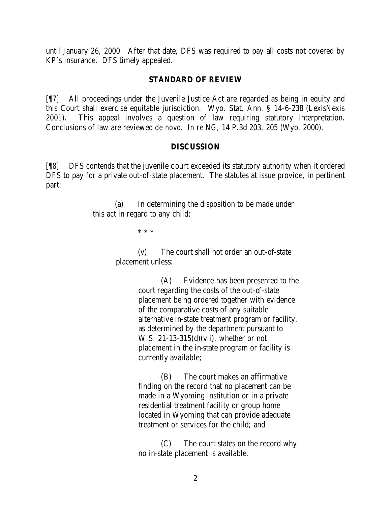until January 26, 2000. After that date, DFS was required to pay all costs not covered by KP's insurance. DFS timely appealed.

### **STANDARD OF REVIEW**

[¶7] All proceedings under the Juvenile Justice Act are regarded as being in equity and this Court shall exercise equitable jurisdiction. Wyo. Stat. Ann. § 14-6-238 (LexisNexis 2001). This appeal involves a question of law requiring statutory interpretation. Conclusions of law are reviewed *de novo*. *In re NG*, 14 P.3d 203, 205 (Wyo. 2000).

#### **DISCUSSION**

[¶8] DFS contends that the juvenile court exceeded its statutory authority when it ordered DFS to pay for a private out-of-state placement. The statutes at issue provide, in pertinent part:

> (a) In determining the disposition to be made under this act in regard to any child:

> > \* \* \*

(v) The court shall not order an out-of-state placement unless:

> (A) Evidence has been presented to the court regarding the costs of the out-of-state placement being ordered together with evidence of the comparative costs of any suitable alternative in-state treatment program or facility, as determined by the department pursuant to W.S. 21-13-315(d)(vii), whether or not placement in the in-state program or facility is currently available;

(B) The court makes an affirmative finding on the record that no placement can be made in a Wyoming institution or in a private residential treatment facility or group home located in Wyoming that can provide adequate treatment or services for the child; and

(C) The court states on the record why no in-state placement is available.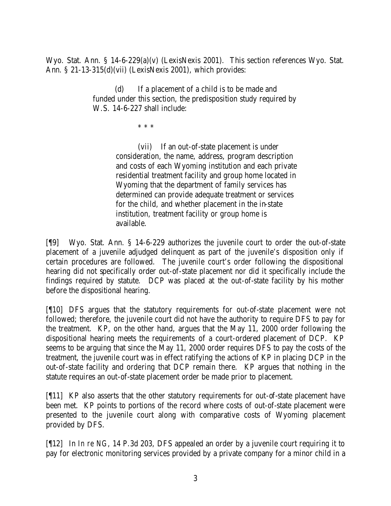Wyo. Stat. Ann. § 14-6-229(a)(v) (LexisNexis 2001). This section references Wyo. Stat. Ann. § 21-13-315(d)(vii) (LexisNexis 2001), which provides:

> (d) If a placement of a child is to be made and funded under this section, the predisposition study required by W.S. 14-6-227 shall include:

> > \* \* \*

(vii) If an out-of-state placement is under consideration, the name, address, program description and costs of each Wyoming institution and each private residential treatment facility and group home located in Wyoming that the department of family services has determined can provide adequate treatment or services for the child, and whether placement in the in-state institution, treatment facility or group home is available.

[¶9] Wyo. Stat. Ann. § 14-6-229 authorizes the juvenile court to order the out-of-state placement of a juvenile adjudged delinquent as part of the juvenile's disposition only if certain procedures are followed. The juvenile court's order following the dispositional hearing did not specifically order out-of-state placement nor did it specifically include the findings required by statute. DCP was placed at the out-of-state facility by his mother before the dispositional hearing.

[¶10] DFS argues that the statutory requirements for out-of-state placement were not followed; therefore, the juvenile court did not have the authority to require DFS to pay for the treatment. KP, on the other hand, argues that the May 11, 2000 order following the dispositional hearing meets the requirements of a court-ordered placement of DCP. KP seems to be arguing that since the May 11, 2000 order requires DFS to pay the costs of the treatment, the juvenile court was in effect ratifying the actions of KP in placing DCP in the out-of-state facility and ordering that DCP remain there. KP argues that nothing in the statute requires an out-of-state placement order be made prior to placement.

[¶11] KP also asserts that the other statutory requirements for out-of-state placement have been met. KP points to portions of the record where costs of out-of-state placement were presented to the juvenile court along with comparative costs of Wyoming placement provided by DFS.

[¶12] In *In re NG*, 14 P.3d 203, DFS appealed an order by a juvenile court requiring it to pay for electronic monitoring services provided by a private company for a minor child in a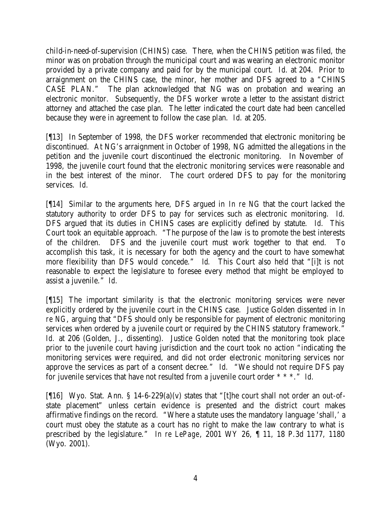child-in-need-of-supervision (CHINS) case. There, when the CHINS petition was filed, the minor was on probation through the municipal court and was wearing an electronic monitor provided by a private company and paid for by the municipal court. *Id*. at 204. Prior to arraignment on the CHINS case, the minor, her mother and DFS agreed to a "CHINS CASE PLAN." The plan acknowledged that NG was on probation and wearing an electronic monitor. Subsequently, the DFS worker wrote a letter to the assistant district attorney and attached the case plan. The letter indicated the court date had been cancelled because they were in agreement to follow the case plan. *Id*. at 205.

[¶13] In September of 1998, the DFS worker recommended that electronic monitoring be discontinued. At NG's arraignment in October of 1998, NG admitted the allegations in the petition and the juvenile court discontinued the electronic monitoring. In November of 1998, the juvenile court found that the electronic monitoring services were reasonable and in the best interest of the minor. The court ordered DFS to pay for the monitoring services. *Id.*

[¶14] Similar to the arguments here, DFS argued in *In re NG* that the court lacked the statutory authority to order DFS to pay for services such as electronic monitoring. *Id.* DFS argued that its duties in CHINS cases are explicitly defined by statute. *Id.* This Court took an equitable approach. "The purpose of the law is to promote the best interests of the children. DFS and the juvenile court must work together to that end. To accomplish this task, it is necessary for both the agency and the court to have somewhat more flexibility than DFS would concede." *Id.* This Court also held that "[i]t is not reasonable to expect the legislature to foresee every method that might be employed to assist a juvenile." *Id.*

[¶15] The important similarity is that the electronic monitoring services were never explicitly ordered by the juvenile court in the CHINS case. Justice Golden dissented in *In re NG*, arguing that "DFS should only be responsible for payment of electronic monitoring services when ordered by a juvenile court or required by the CHINS statutory framework.<sup>"</sup> Id. at 206 (Golden, J., dissenting). Justice Golden noted that the monitoring took place prior to the juvenile court having jurisdiction and the court took no action "indicating the monitoring services were required, and did not order electronic monitoring services nor approve the services as part of a consent decree." *Id.* "We should not require DFS pay for juvenile services that have not resulted from a juvenile court order \* \* \*." *Id.*

[ $[16]$  Wyo. Stat. Ann. § 14-6-229(a)(v) states that "[t]he court shall not order an out-ofstate placement" unless certain evidence is presented and the district court makes affirmative findings on the record. "Where a statute uses the mandatory language 'shall,' a court must obey the statute as a court has no right to make the law contrary to what is prescribed by the legislature." *In re LePage*, 2001 WY 26, ¶ 11, 18 P.3d 1177, 1180 (Wyo. 2001).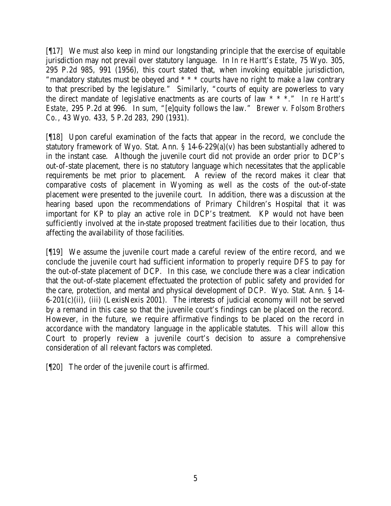[¶17] We must also keep in mind our longstanding principle that the exercise of equitable jurisdiction may not prevail over statutory language. In *In re Hartt's Estate*, 75 Wyo. 305, 295 P.2d 985, 991 (1956), this court stated that, when invoking equitable jurisdiction, "mandatory statutes must be obeyed and \* \* \* courts have no right to make a law contrary to that prescribed by the legislature." Similarly, "courts of equity are powerless to vary the direct mandate of legislative enactments as are courts of law \* \* \*." *In re Hartt's Estate*, 295 P.2d at 996. In sum, "[e]quity follows the law." *Brewer v. Folsom Brothers Co.*, 43 Wyo. 433, 5 P.2d 283, 290 (1931).

[¶18] Upon careful examination of the facts that appear in the record, we conclude the statutory framework of Wyo. Stat. Ann. § 14-6-229(a)(v) has been substantially adhered to in the instant case. Although the juvenile court did not provide an order prior to DCP's out-of-state placement, there is no statutory language which necessitates that the applicable requirements be met prior to placement. A review of the record makes it clear that comparative costs of placement in Wyoming as well as the costs of the out-of-state placement were presented to the juvenile court. In addition, there was a discussion at the hearing based upon the recommendations of Primary Children's Hospital that it was important for KP to play an active role in DCP's treatment. KP would not have been sufficiently involved at the in-state proposed treatment facilities due to their location, thus affecting the availability of those facilities.

[¶19] We assume the juvenile court made a careful review of the entire record, and we conclude the juvenile court had sufficient information to properly require DFS to pay for the out-of-state placement of DCP. In this case, we conclude there was a clear indication that the out-of-state placement effectuated the protection of public safety and provided for the care, protection, and mental and physical development of DCP. Wyo. Stat. Ann. § 14- 6-201(c)(ii), (iii) (LexisNexis 2001). The interests of judicial economy will not be served by a remand in this case so that the juvenile court's findings can be placed on the record. However, in the future, we require affirmative findings to be placed on the record in accordance with the mandatory language in the applicable statutes. This will allow this Court to properly review a juvenile court's decision to assure a comprehensive consideration of all relevant factors was completed.

[¶20] The order of the juvenile court is affirmed.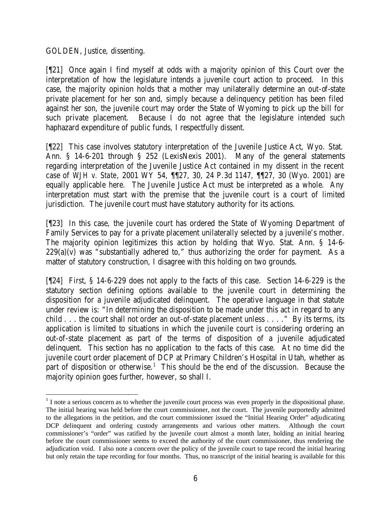GOLDEN, Justice, dissenting.

[¶21] Once again I find myself at odds with a majority opinion of this Court over the interpretation of how the legislature intends a juvenile court action to proceed. In this case, the majority opinion holds that a mother may unilaterally determine an out-of-state private placement for her son and, simply because a delinquency petition has been filed against her son, the juvenile court may order the State of Wyoming to pick up the bill for such private placement. Because I do not agree that the legislature intended such haphazard expenditure of public funds, I respectfully dissent.

[¶22] This case involves statutory interpretation of the Juvenile Justice Act, Wyo. Stat. Ann. § 14-6-201 through § 252 (LexisNexis 2001). Many of the general statements regarding interpretation of the Juvenile Justice Act contained in my dissent in the recent case of *WJH v. State*, 2001 WY 54, ¶¶27, 30, 24 P.3d 1147, ¶¶27, 30 (Wyo. 2001) are equally applicable here. The Juvenile Justice Act must be interpreted as a whole. Any interpretation must start with the premise that the juvenile court is a court of limited jurisdiction. The juvenile court must have statutory authority for its actions.

[¶23] In this case, the juvenile court has ordered the State of Wyoming Department of Family Services to pay for a private placement unilaterally selected by a juvenile's mother. The majority opinion legitimizes this action by holding that Wyo. Stat. Ann. § 14-6-  $229(a)(v)$  was "substantially adhered to," thus authorizing the order for payment. As a matter of statutory construction, I disagree with this holding on two grounds.

[¶24] First, § 14-6-229 does not apply to the facts of this case. Section 14-6-229 is the statutory section defining options available to the juvenile court in determining the disposition for a juvenile adjudicated delinquent. The operative language in that statute under review is: "In determining the disposition to be made under this act in regard to any child . . . the court shall not order an out-of-state placement unless . . . ." By its terms, its application is limited to situations in which the juvenile court is considering ordering an out-of-state placement as part of the terms of disposition of a juvenile adjudicated delinquent. This section has no application to the facts of this case. At no time did the juvenile court order placement of DCP at Primary Children's Hospital in Utah, whether as part of disposition or otherwise.<sup>1</sup> This should be the end of the discussion. Because the majority opinion goes further, however, so shall I.

 $<sup>1</sup>$  I note a serious concern as to whether the juvenile court process was even properly in the dispositional phase.</sup> The initial hearing was held before the court commissioner, not the court. The juvenile purportedly admitted to the allegations in the petition, and the court commissioner issued the "Initial Hearing Order" adjudicating DCP delinquent and ordering custody arrangements and various other matters. Although the court commissioner's "order" was ratified by the juvenile court almost a month later, holding an initial hearing before the court commissioner seems to exceed the authority of the court commissioner, thus rendering the adjudication void. I also note a concern over the policy of the juvenile court to tape record the initial hearing but only retain the tape recording for four months. Thus, no transcript of the initial hearing is available for this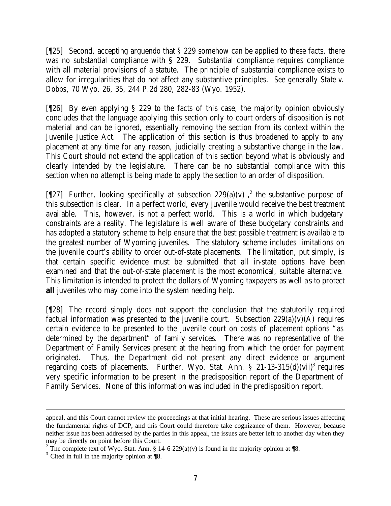[¶25] Second, accepting arguendo that § 229 somehow can be applied to these facts, there was no substantial compliance with § 229. Substantial compliance requires compliance with all material provisions of a statute. The principle of substantial compliance exists to allow for irregularities that do not affect any substantive principles. *See generally State v. Dobbs*, 70 Wyo. 26, 35, 244 P.2d 280, 282-83 (Wyo. 1952).

[¶26] By even applying § 229 to the facts of this case, the majority opinion obviously concludes that the language applying this section only to court orders of disposition is not material and can be ignored, essentially removing the section from its context within the Juvenile Justice Act. The application of this section is thus broadened to apply to any placement at any time for any reason, judicially creating a substantive change in the law. This Court should not extend the application of this section beyond what is obviously and clearly intended by the legislature. There can be no substantial compliance with this section when no attempt is being made to apply the section to an order of disposition.

[ $[27]$  Further, looking specifically at subsection 229(a)(v), <sup>2</sup> the substantive purpose of this subsection is clear. In a perfect world, every juvenile would receive the best treatment available. This, however, is not a perfect world. This is a world in which budgetary constraints are a reality. The legislature is well aware of these budgetary constraints and has adopted a statutory scheme to help ensure that the best possible treatment is available to the greatest number of Wyoming juveniles. The statutory scheme includes limitations on the juvenile court's ability to order out-of-state placements. The limitation, put simply, is that certain specific evidence must be submitted that all in-state options have been examined and that the out-of-state placement is the most economical, suitable alternative. This limitation is intended to protect the dollars of Wyoming taxpayers as well a s to protect **all** juveniles who may come into the system needing help.

[¶28] The record simply does not support the conclusion that the statutorily required factual information was presented to the juvenile court. Subsection  $229(a)(v)(A)$  requires certain evidence to be presented to the juvenile court on costs of placement options "as determined by the department" of family services. There was no representative of the Department of Family Services present at the hearing from which the order for payment originated. Thus, the Department did not present any direct evidence or argument regarding costs of placements. Further, Wyo. Stat. Ann.  $\S 21-13-315(d)(vii)^3$  requires very specific information to be present in the predisposition report of the Department of Family Services. None of this information was included in the predisposition report.

appeal, and this Court cannot review the proceedings at that initial hearing. These are serious issues affecting the fundamental rights of DCP, and this Court could therefore take cognizance of them. However, because neither issue has been addressed by the parties in this appeal, the issues are better left to another day when they may be directly on point before this Court.

<sup>&</sup>lt;sup>2</sup> The complete text of Wyo. Stat. Ann. § 14-6-229(a)(v) is found in the majority opinion at ¶8.

<sup>&</sup>lt;sup>3</sup> Cited in full in the majority opinion at ¶8.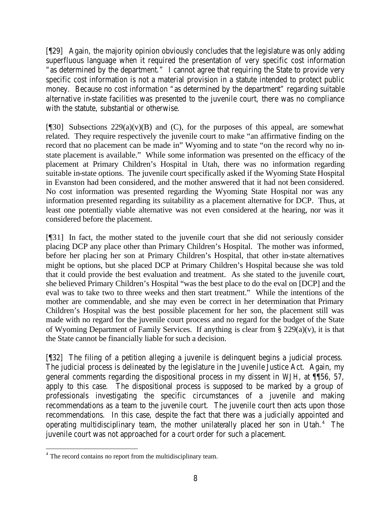[¶29] Again, the majority opinion obviously concludes that the legislature was only adding superfluous language when it required the presentation of very specific cost information "as determined by the department." I cannot agree that requiring the State to provide very specific cost information is not a material provision in a statute intended to protect public money. Because no cost information "as determined by the department" regarding suitable alternative in-state facilities was presented to the juvenile court, there was no compliance with the statute, substantial or otherwise.

[ $[$ ]30] Subsections 229(a)(v)(B) and (C), for the purposes of this appeal, are somewhat related. They require respectively the juvenile court to make "an affirmative finding on the record that no placement can be made in" Wyoming and to state "on the record why no instate placement is available." While some information was presented on the efficacy of the placement at Primary Children's Hospital in Utah, there was no information regarding suitable in-state options. The juvenile court specifically asked if the Wyoming State Hospital in Evanston had been considered, and the mother answered that it had not been considered. No cost information was presented regarding the Wyoming State Hospital nor was any information presented regarding its suitability as a placement alternative for DCP. Thus, at least one potentially viable alternative was not even considered at the hearing, nor was it considered before the placement.

[¶31] In fact, the mother stated to the juvenile court that she did not seriously consider placing DCP any place other than Primary Children's Hospital. The mother was informed, before her placing her son at Primary Children's Hospital, that other in-state alternatives might be options, but she placed DCP at Primary Children's Hospital because she was told that it could provide the best evaluation and treatment. As she stated to the juvenile court, she believed Primary Children's Hospital "was the best place to do the eval on [DCP] and the eval was to take two to three weeks and then start treatment." While the intentions of the mother are commendable, and she may even be correct in her determination that Primary Children's Hospital was the best possible placement for her son, the placement still was made with no regard for the juvenile court process and no regard for the budget of the State of Wyoming Department of Family Services. If anything is clear from § 229(a)(v), it is that the State cannot be financially liable for such a decision.

[¶32] The filing of a petition alleging a juvenile is delinquent begins a judicial process. The judicial process is delineated by the legislature in the Juvenile Justice Act. Again, my general comments regarding the dispositional process in my dissent in *WJH*, at ¶¶56, 57, apply to this case. The dispositional process is supposed to be marked by a group of professionals investigating the specific circumstances of a juvenile and making recommendations as a team to the juvenile court. The juvenile court then acts upon those recommendations. In this case, despite the fact that there was a judicially appointed and operating multidisciplinary team, the mother unilaterally placed her son in Utah.<sup>4</sup> The juvenile court was not approached for a court order for such a placement.

<sup>&</sup>lt;sup>4</sup> The record contains no report from the multidisciplinary team.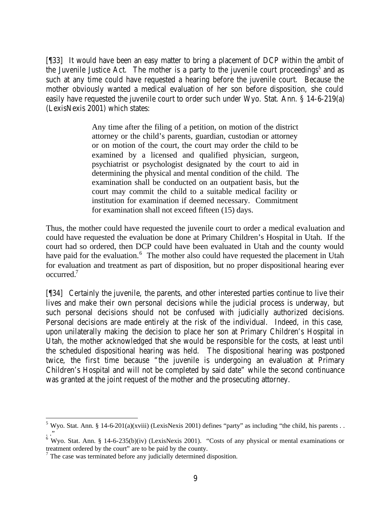[¶33] It would have been an easy matter to bring a placement of DCP within the ambit of the Juvenile Justice Act. The mother is a party to the juvenile court proceedings<sup>5</sup> and as such at any time could have requested a hearing before the juvenile court. Because the mother obviously wanted a medical evaluation of her son before disposition, she could easily have requested the juvenile court to order such under Wyo. Stat. Ann. § 14-6-219(a) (LexisNexis 2001) which states:

> Any time after the filing of a petition, on motion of the district attorney or the child's parents, guardian, custodian or attorney or on motion of the court, the court may order the child to be examined by a licensed and qualified physician, surgeon, psychiatrist or psychologist designated by the court to aid in determining the physical and mental condition of the child. The examination shall be conducted on an outpatient basis, but the court may commit the child to a suitable medical facility or institution for examination if deemed necessary. Commitment for examination shall not exceed fifteen (15) days.

Thus, the mother could have requested the juvenile court to order a medical evaluation and could have requested the evaluation be done at Primary Children's Hospital in Utah. If the court had so ordered, then DCP could have been evaluated in Utah and the county would have paid for the evaluation.<sup>6</sup> The mother also could have requested the placement in Utah for evaluation and treatment as part of disposition, but no proper dispositional hearing ever occurred.<sup>7</sup>

[¶34] Certainly the juvenile, the parents, and other interested parties continue to live their lives and make their own personal decisions while the judicial process is underway, but such personal decisions should not be confused with judicially authorized decisions. Personal decisions are made entirely at the risk of the individual. Indeed, in this case, upon unilaterally making the decision to place her son at Primary Children's Hospital in Utah, the mother acknowledged that she would be responsible for the costs, at least until the scheduled dispositional hearing was held. The dispositional hearing was postponed twice, the first time because "the juvenile is undergoing an evaluation at Primary Children's Hospital and will not be completed by said date" while the second continuance was granted at the joint request of the mother and the prosecuting attorney.

<sup>&</sup>lt;sup>5</sup> Wyo. Stat. Ann. § 14-6-201(a)(xviii) (LexisNexis 2001) defines "party" as including "the child, his parents . . . ." 6 Wyo. Stat. Ann. § 14-6-235(b)(iv) (LexisNexis 2001). "Costs of any physical or mental examinations or

treatment ordered by the court" are to be paid by the county.

 $^7$  The case was terminated before any judicially determined disposition.